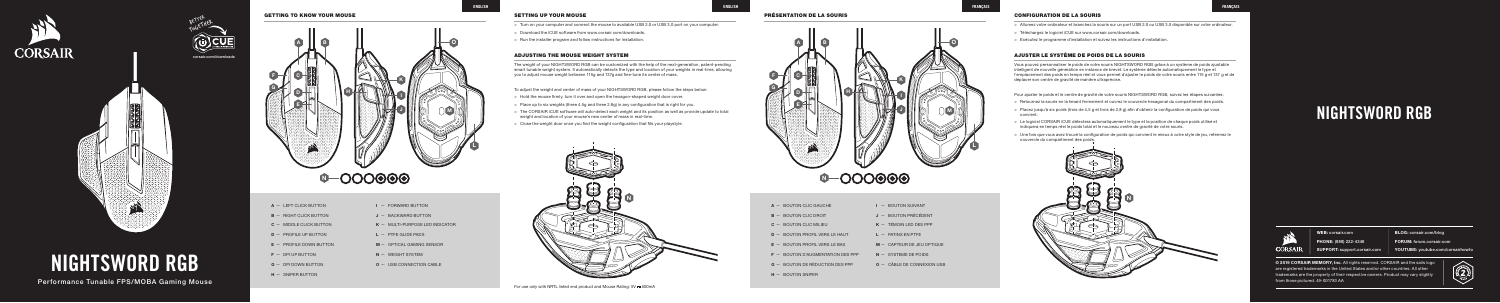





Performance Tunable FPS/MOBA Gaming Mouse

# NIGHTSWORD RGB

# GETTING TO KNOW YOUR MOUSE A **B** C D K L J MINI (IM H E F I G **0-000000**

| $A - BOLUTION CLLC GALICHF$         | $I - BOLUTION$ SUIVANT        |
|-------------------------------------|-------------------------------|
| $B - B$ QUITON CLIC DROIT           | $J -$ BOUTON PRÉCÉDENT        |
| $C - BOLUTION CLLC MILIFU$          | $K = TFMOIN$ I ED DES PPP     |
| $D -$ BOUTON PROFIL VERS LE HAUT    | $L -$ PATINS EN PTFF          |
| $E -$ BOUTON PROFIL VERS LE BAS     | $M - CAPTFUR DE JFU OPTIOUF$  |
| $F -$ BOUTON D'AUGMENTATION DES PPP | $N -$ SYSTEME DE POIDS        |
| $G -$ BOUTON DE RÉDUCTION DES PPP   | $Q - C$ ÂBLE DE CONNEXION USB |
| $H - BOLUTION SNPFR$                |                               |

**B** - RIGHT CLICK BUTTON C — MIDDLE CLICK BUTTON D — PROFILE UP BUTTON E — PROFILE DOWN BUTTON  $F - DPI UP BUTTON$ G — DPI DOWN BUTTON

A — LEFT CLICK BUTTON

 $H - SNIPER$  BUTTON

- > Hold the mouse firmly, turn it over and open the hexagon-shaped weight door cover.
- > Place up to six weights (three 4.5g and three 2.8g) in any configuration that is right for you.
- > The CORSAIR iCUE software will auto-detect each weight and its position as well as provide update to total weight and location of your mouse's new center of mass in real-time.
- > Close the weight door once you find the weight configuration that fits your playstyle.

- I FORWARD BUTTON J - BACKWARD BUTTON
- K MULTI-PURPOSE LED INDICATOR
- $L P$ TFE GLIDE PADS
- M OPTICAL GAMING SENSOR
- N WEIGHT SYSTEM
	-
- O USB CONNECTION CABLE

The weight of your NIGHTSWORD RGB can be customized with the help of the next-generation, patent-pending smart tunable weight system. It automatically detects the type and location of your weights in real-time, allowing you to adjust mouse weight between 115g and 137g and fine-tune its center of mass.

To adjust the weight and center of mass of your NIGHTSWORD RGB, please follow the steps below:

- > Turn on your computer and connect the mouse to available USB 2.0 or USB 3.0 port on your computer.
- > Download the iCUE software from www.corsair.com/downloads.
- $>$  Run the installer program and follow instructions for installation.

# ADJUSTING THE MOUSE WEIGHT SYSTEM

© 2019 CORSAIR MEMORY, Inc. All rights reserved. CORSAIR and the sails logo are registered trademarks in the United States and/or other countries. All other trademarks are the property of their respective owners. Product may vary slightly from those pictured. 49-001783 AA



Vous pouvez personnaliser le poids de votre souris NIGHTSWORD RGB grâce à un système de poids ajustable intelligent de nouvelle génération en instance de brevet. Le système détecte automatiquement le type et l'emplacement des poids en temps réel et vous permet d'ajuster le poids de votre souris entre 115 g et 137 g et de déplacer son centre de gravité de manière ultraprécise.

Pour ajuster le poids et le centre de gravité de votre souris NIGHTSWORD RGB, suivez les étapes suivantes:

- > Retournez la souris en la tenant fermement et ouvrez le couvercle hexagonal du compartiment des poids.
- > Placez jusqu'à six poids (trois de 4,5 g et trois de 2,8 g) afin d'obtenir la configuration de poids qui vous convient.
- > Le logiciel CORSAIR iCUE détectera automatiquement le type et la position de chaque poids utilisé et indiquera en temps réel le poids total et le nouveau centre de gravité de votre souris.
- > Une fois que vous avez trouvé la configuration de poids qui convient le mieux à votre style de jeu, refermez le couvercle du compartiment des poids.



# AJUSTER LE SYSTÈME DE POIDS DE LA SOURIS

# PRÉSENTATION DE LA SOURIS

# SETTING UP YOUR MOUSE

WEB: corsair.com PHONE: (888) 222-4346 SUPPORT: support.corsair.com BLOG: corsair.com/blog FORUM: forum.corsair.com

YOUTUBE: youtube.com/corsairhowto

# NIGHTSWORD RGB



- > Allumez votre ordinateur et branchez la souris sur un port USB 2.0 ou USB 3.0 disponible sur votre ordinateur.
- > Téléchargez le logiciel iCUE sur www.corsair.com/downloads.
- > Exécutez le programme d'installation et suivez les instructions d'installation.

# CONFIGURATION DE LA SOURIS